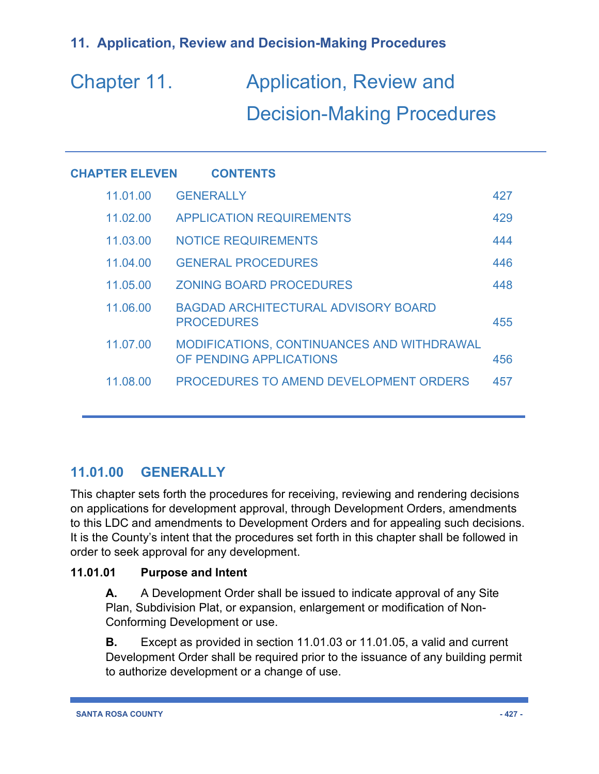# Chapter 11. Application, Review and Decision-Making Procedures

| <b>CHAPTER ELEVEN</b> | <b>CONTENTS</b>                                                              |     |
|-----------------------|------------------------------------------------------------------------------|-----|
| 11.01.00              | <b>GENERALLY</b>                                                             | 427 |
| 11.02.00              | <b>APPLICATION REQUIREMENTS</b>                                              | 429 |
| 11.03.00              | <b>NOTICE REQUIREMENTS</b>                                                   | 444 |
| 11.04.00              | <b>GENERAL PROCEDURES</b>                                                    | 446 |
| 11.05.00              | <b>ZONING BOARD PROCEDURES</b>                                               | 448 |
| 11.06.00              | <b>BAGDAD ARCHITECTURAL ADVISORY BOARD</b><br><b>PROCEDURES</b>              | 455 |
| 11.07.00              | <b>MODIFICATIONS, CONTINUANCES AND WITHDRAWAL</b><br>OF PENDING APPLICATIONS | 456 |
| 11.08.00              | PROCEDURES TO AMEND DEVELOPMENT ORDERS                                       | 457 |
|                       |                                                                              |     |

# **11.01.00 GENERALLY**

This chapter sets forth the procedures for receiving, reviewing and rendering decisions on applications for development approval, through Development Orders, amendments to this LDC and amendments to Development Orders and for appealing such decisions. It is the County's intent that the procedures set forth in this chapter shall be followed in order to seek approval for any development.

### **11.01.01 Purpose and Intent**

**A.** A Development Order shall be issued to indicate approval of any Site Plan, Subdivision Plat, or expansion, enlargement or modification of Non-Conforming Development or use.

**B.** Except as provided in section 11.01.03 or 11.01.05, a valid and current Development Order shall be required prior to the issuance of any building permit to authorize development or a change of use.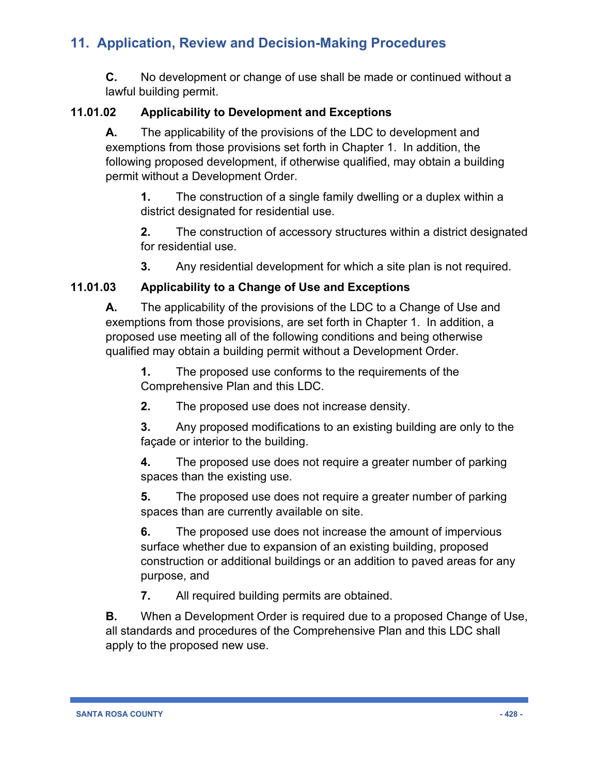**C.** No development or change of use shall be made or continued without a lawful building permit.

### **11.01.02 Applicability to Development and Exceptions**

**A.** The applicability of the provisions of the LDC to development and exemptions from those provisions set forth in Chapter 1. In addition, the following proposed development, if otherwise qualified, may obtain a building permit without a Development Order.

**1.** The construction of a single family dwelling or a duplex within a district designated for residential use.

**2.** The construction of accessory structures within a district designated for residential use.

**3.** Any residential development for which a site plan is not required.

### **11.01.03 Applicability to a Change of Use and Exceptions**

**A.** The applicability of the provisions of the LDC to a Change of Use and exemptions from those provisions, are set forth in Chapter 1. In addition, a proposed use meeting all of the following conditions and being otherwise qualified may obtain a building permit without a Development Order.

**1.** The proposed use conforms to the requirements of the Comprehensive Plan and this LDC.

**2.** The proposed use does not increase density.

**3.** Any proposed modifications to an existing building are only to the façade or interior to the building.

**4.** The proposed use does not require a greater number of parking spaces than the existing use.

**5.** The proposed use does not require a greater number of parking spaces than are currently available on site.

**6.** The proposed use does not increase the amount of impervious surface whether due to expansion of an existing building, proposed construction or additional buildings or an addition to paved areas for any purpose, and

**7.** All required building permits are obtained.

**B.** When a Development Order is required due to a proposed Change of Use, all standards and procedures of the Comprehensive Plan and this LDC shall apply to the proposed new use.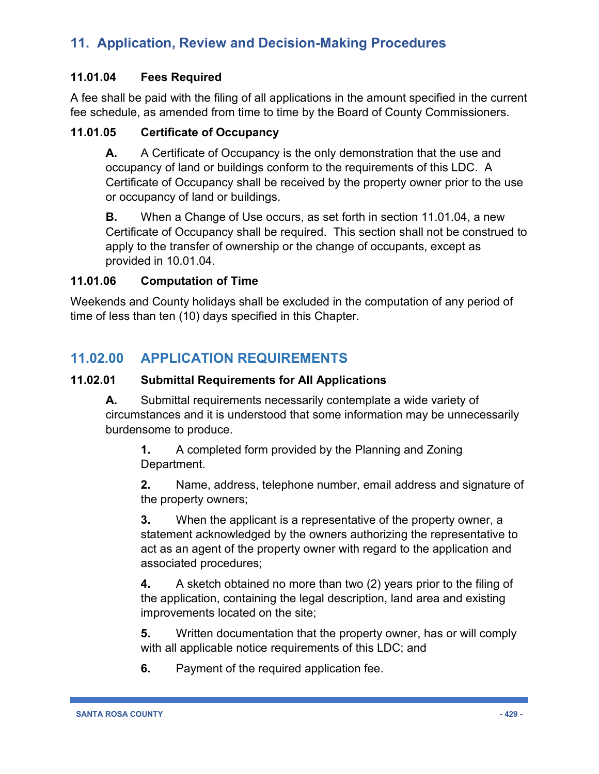#### **11.01.04 Fees Required**

A fee shall be paid with the filing of all applications in the amount specified in the current fee schedule, as amended from time to time by the Board of County Commissioners.

#### **11.01.05 Certificate of Occupancy**

**A.** A Certificate of Occupancy is the only demonstration that the use and occupancy of land or buildings conform to the requirements of this LDC. A Certificate of Occupancy shall be received by the property owner prior to the use or occupancy of land or buildings.

**B.** When a Change of Use occurs, as set forth in section 11.01.04, a new Certificate of Occupancy shall be required. This section shall not be construed to apply to the transfer of ownership or the change of occupants, except as provided in 10.01.04.

#### **11.01.06 Computation of Time**

Weekends and County holidays shall be excluded in the computation of any period of time of less than ten (10) days specified in this Chapter.

### **11.02.00 APPLICATION REQUIREMENTS**

#### **11.02.01 Submittal Requirements for All Applications**

**A.** Submittal requirements necessarily contemplate a wide variety of circumstances and it is understood that some information may be unnecessarily burdensome to produce.

**1.** A completed form provided by the Planning and Zoning Department.

**2.** Name, address, telephone number, email address and signature of the property owners;

**3.** When the applicant is a representative of the property owner, a statement acknowledged by the owners authorizing the representative to act as an agent of the property owner with regard to the application and associated procedures;

**4.** A sketch obtained no more than two (2) years prior to the filing of the application, containing the legal description, land area and existing improvements located on the site;

**5.** Written documentation that the property owner, has or will comply with all applicable notice requirements of this LDC; and

**6.** Payment of the required application fee.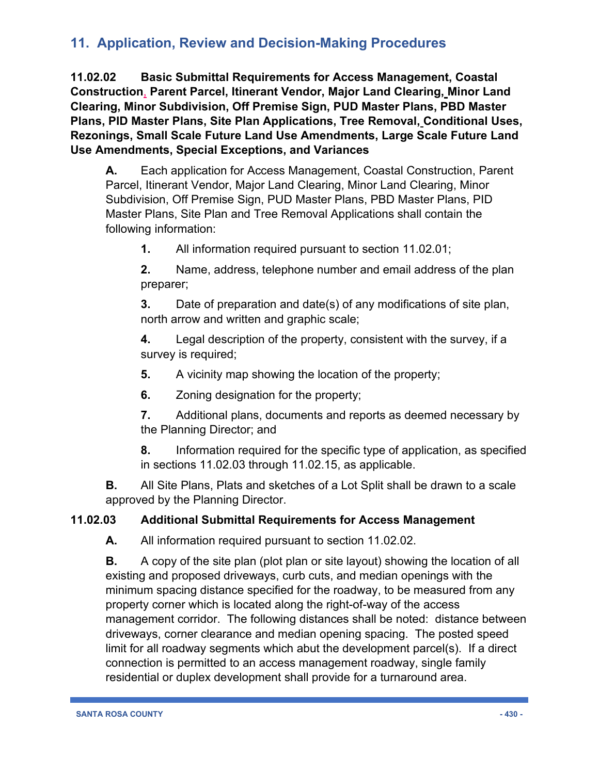**11.02.02 Basic Submittal Requirements for Access Management, Coastal Construction**, **Parent Parcel, Itinerant Vendor, Major Land Clearing, Minor Land Clearing, Minor Subdivision, Off Premise Sign, PUD Master Plans, PBD Master Plans, PID Master Plans, Site Plan Applications, Tree Removal, Conditional Uses, Rezonings, Small Scale Future Land Use Amendments, Large Scale Future Land Use Amendments, Special Exceptions, and Variances**

**A.** Each application for Access Management, Coastal Construction, Parent Parcel, Itinerant Vendor, Major Land Clearing, Minor Land Clearing, Minor Subdivision, Off Premise Sign, PUD Master Plans, PBD Master Plans, PID Master Plans, Site Plan and Tree Removal Applications shall contain the following information:

**1.** All information required pursuant to section 11.02.01;

**2.** Name, address, telephone number and email address of the plan preparer;

**3.** Date of preparation and date(s) of any modifications of site plan, north arrow and written and graphic scale;

**4.** Legal description of the property, consistent with the survey, if a survey is required;

**5.** A vicinity map showing the location of the property;

**6.** Zoning designation for the property;

**7.** Additional plans, documents and reports as deemed necessary by the Planning Director; and

**8.** Information required for the specific type of application, as specified in sections 11.02.03 through 11.02.15, as applicable.

**B.** All Site Plans, Plats and sketches of a Lot Split shall be drawn to a scale approved by the Planning Director.

### **11.02.03 Additional Submittal Requirements for Access Management**

**A.** All information required pursuant to section 11.02.02.

**B.** A copy of the site plan (plot plan or site layout) showing the location of all existing and proposed driveways, curb cuts, and median openings with the minimum spacing distance specified for the roadway, to be measured from any property corner which is located along the right-of-way of the access management corridor. The following distances shall be noted: distance between driveways, corner clearance and median opening spacing. The posted speed limit for all roadway segments which abut the development parcel(s). If a direct connection is permitted to an access management roadway, single family residential or duplex development shall provide for a turnaround area.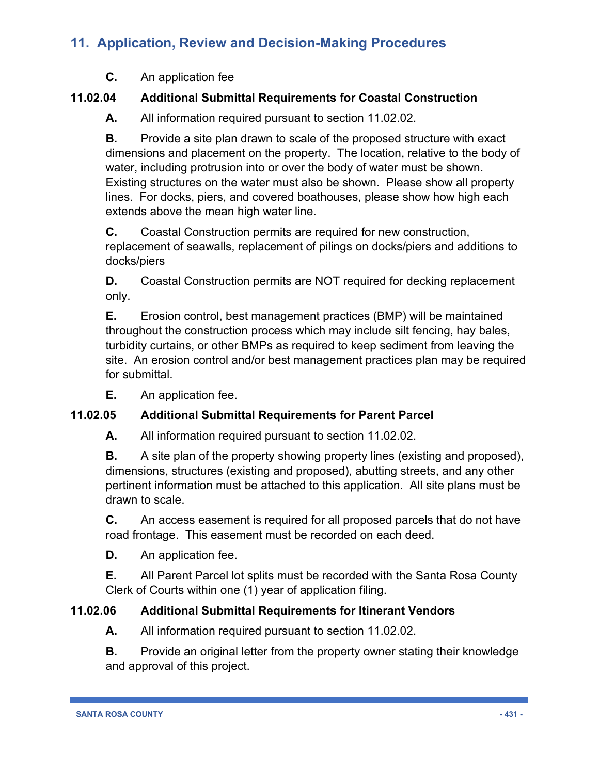**C.** An application fee

### **11.02.04 Additional Submittal Requirements for Coastal Construction**

**A.** All information required pursuant to section 11.02.02.

**B.** Provide a site plan drawn to scale of the proposed structure with exact dimensions and placement on the property. The location, relative to the body of water, including protrusion into or over the body of water must be shown. Existing structures on the water must also be shown. Please show all property lines. For docks, piers, and covered boathouses, please show how high each extends above the mean high water line.

**C.** Coastal Construction permits are required for new construction, replacement of seawalls, replacement of pilings on docks/piers and additions to docks/piers

**D.** Coastal Construction permits are NOT required for decking replacement only.

**E.** Erosion control, best management practices (BMP) will be maintained throughout the construction process which may include silt fencing, hay bales, turbidity curtains, or other BMPs as required to keep sediment from leaving the site. An erosion control and/or best management practices plan may be required for submittal.

**E.** An application fee.

### **11.02.05 Additional Submittal Requirements for Parent Parcel**

**A.** All information required pursuant to section 11.02.02.

**B.** A site plan of the property showing property lines (existing and proposed), dimensions, structures (existing and proposed), abutting streets, and any other pertinent information must be attached to this application. All site plans must be drawn to scale.

**C.** An access easement is required for all proposed parcels that do not have road frontage. This easement must be recorded on each deed.

**D.** An application fee.

**E.** All Parent Parcel lot splits must be recorded with the Santa Rosa County Clerk of Courts within one (1) year of application filing.

### **11.02.06 Additional Submittal Requirements for Itinerant Vendors**

**A.** All information required pursuant to section 11.02.02.

**B.** Provide an original letter from the property owner stating their knowledge and approval of this project.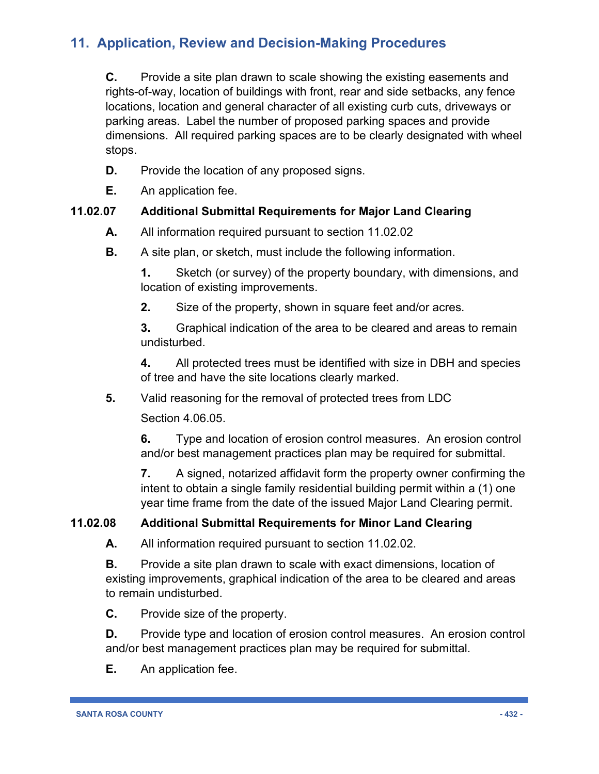**C.** Provide a site plan drawn to scale showing the existing easements and rights-of-way, location of buildings with front, rear and side setbacks, any fence locations, location and general character of all existing curb cuts, driveways or parking areas. Label the number of proposed parking spaces and provide dimensions. All required parking spaces are to be clearly designated with wheel stops.

- **D.** Provide the location of any proposed signs.
- **E.** An application fee.

#### **11.02.07 Additional Submittal Requirements for Major Land Clearing**

- **A.** All information required pursuant to section 11.02.02
- **B.** A site plan, or sketch, must include the following information.

**1.** Sketch (or survey) of the property boundary, with dimensions, and location of existing improvements.

**2.** Size of the property, shown in square feet and/or acres.

**3.** Graphical indication of the area to be cleared and areas to remain undisturbed.

**4.** All protected trees must be identified with size in DBH and species of tree and have the site locations clearly marked.

**5.** Valid reasoning for the removal of protected trees from LDC

Section 4.06.05.

**6.** Type and location of erosion control measures. An erosion control and/or best management practices plan may be required for submittal.

**7.** A signed, notarized affidavit form the property owner confirming the intent to obtain a single family residential building permit within a (1) one year time frame from the date of the issued Major Land Clearing permit.

### **11.02.08 Additional Submittal Requirements for Minor Land Clearing**

**A.** All information required pursuant to section 11.02.02.

**B.** Provide a site plan drawn to scale with exact dimensions, location of existing improvements, graphical indication of the area to be cleared and areas to remain undisturbed.

**C.** Provide size of the property.

**D.** Provide type and location of erosion control measures. An erosion control and/or best management practices plan may be required for submittal.

**E.** An application fee.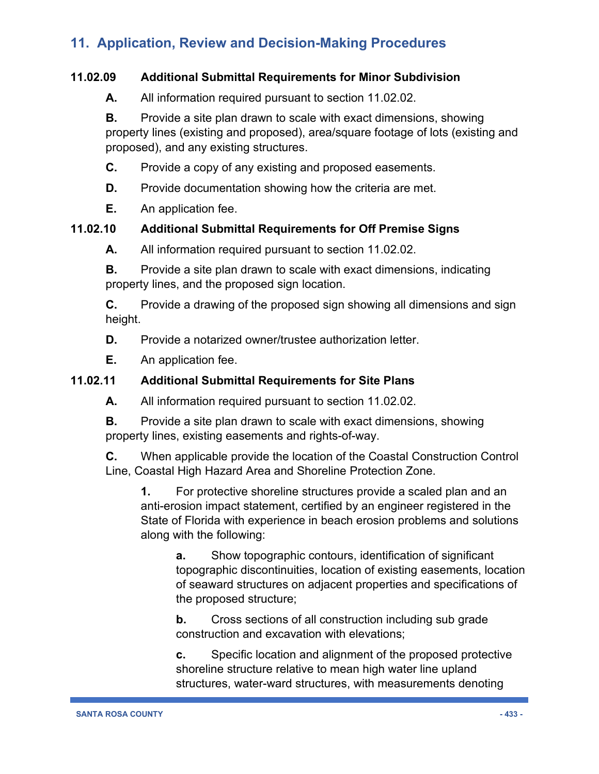#### **11.02.09 Additional Submittal Requirements for Minor Subdivision**

**A.** All information required pursuant to section 11.02.02.

**B.** Provide a site plan drawn to scale with exact dimensions, showing property lines (existing and proposed), area/square footage of lots (existing and proposed), and any existing structures.

- **C.** Provide a copy of any existing and proposed easements.
- **D.** Provide documentation showing how the criteria are met.
- **E.** An application fee.

#### **11.02.10 Additional Submittal Requirements for Off Premise Signs**

**A.** All information required pursuant to section 11.02.02.

**B.** Provide a site plan drawn to scale with exact dimensions, indicating property lines, and the proposed sign location.

**C.** Provide a drawing of the proposed sign showing all dimensions and sign height.

**D.** Provide a notarized owner/trustee authorization letter.

**E.** An application fee.

### **11.02.11 Additional Submittal Requirements for Site Plans**

**A.** All information required pursuant to section 11.02.02.

**B.** Provide a site plan drawn to scale with exact dimensions, showing property lines, existing easements and rights-of-way.

**C.** When applicable provide the location of the Coastal Construction Control Line, Coastal High Hazard Area and Shoreline Protection Zone.

**1.** For protective shoreline structures provide a scaled plan and an anti-erosion impact statement, certified by an engineer registered in the State of Florida with experience in beach erosion problems and solutions along with the following:

**a.** Show topographic contours, identification of significant topographic discontinuities, location of existing easements, location of seaward structures on adjacent properties and specifications of the proposed structure;

**b.** Cross sections of all construction including sub grade construction and excavation with elevations;

**c.** Specific location and alignment of the proposed protective shoreline structure relative to mean high water line upland structures, water-ward structures, with measurements denoting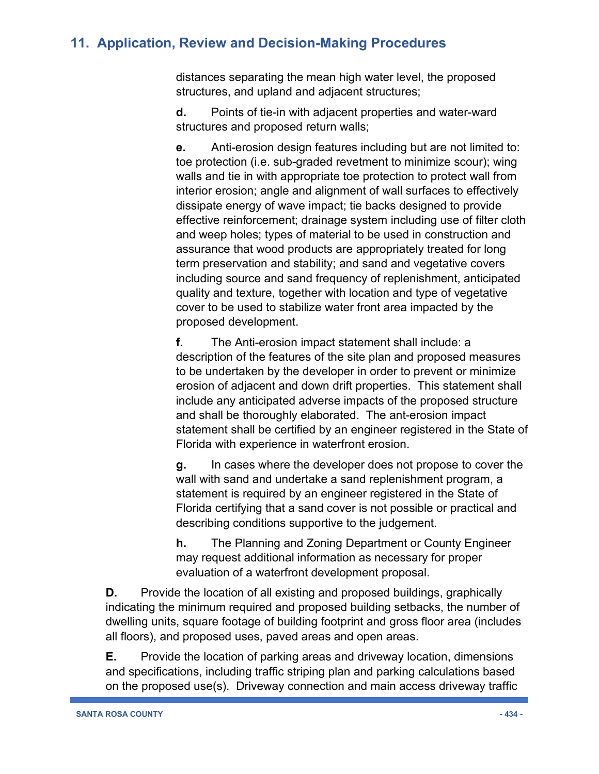distances separating the mean high water level, the proposed structures, and upland and adjacent structures;

**d.** Points of tie-in with adjacent properties and water-ward structures and proposed return walls;

**e.** Anti-erosion design features including but are not limited to: toe protection (i.e. sub-graded revetment to minimize scour); wing walls and tie in with appropriate toe protection to protect wall from interior erosion; angle and alignment of wall surfaces to effectively dissipate energy of wave impact; tie backs designed to provide effective reinforcement; drainage system including use of filter cloth and weep holes; types of material to be used in construction and assurance that wood products are appropriately treated for long term preservation and stability; and sand and vegetative covers including source and sand frequency of replenishment, anticipated quality and texture, together with location and type of vegetative cover to be used to stabilize water front area impacted by the proposed development.

**f.** The Anti-erosion impact statement shall include: a description of the features of the site plan and proposed measures to be undertaken by the developer in order to prevent or minimize erosion of adjacent and down drift properties. This statement shall include any anticipated adverse impacts of the proposed structure and shall be thoroughly elaborated. The ant-erosion impact statement shall be certified by an engineer registered in the State of Florida with experience in waterfront erosion.

**g.** In cases where the developer does not propose to cover the wall with sand and undertake a sand replenishment program, a statement is required by an engineer registered in the State of Florida certifying that a sand cover is not possible or practical and describing conditions supportive to the judgement.

**h.** The Planning and Zoning Department or County Engineer may request additional information as necessary for proper evaluation of a waterfront development proposal.

**D.** Provide the location of all existing and proposed buildings, graphically indicating the minimum required and proposed building setbacks, the number of dwelling units, square footage of building footprint and gross floor area (includes all floors), and proposed uses, paved areas and open areas.

**E.** Provide the location of parking areas and driveway location, dimensions and specifications, including traffic striping plan and parking calculations based on the proposed use(s). Driveway connection and main access driveway traffic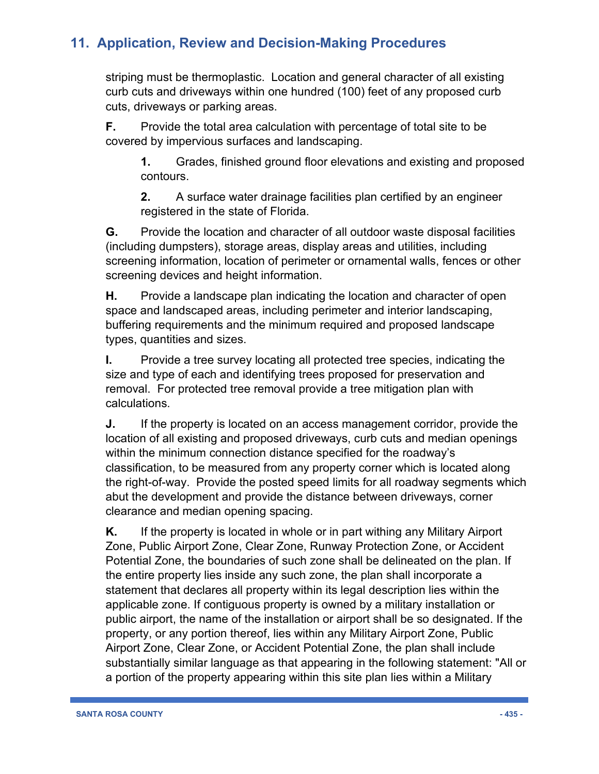striping must be thermoplastic. Location and general character of all existing curb cuts and driveways within one hundred (100) feet of any proposed curb cuts, driveways or parking areas.

**F.** Provide the total area calculation with percentage of total site to be covered by impervious surfaces and landscaping.

**1.** Grades, finished ground floor elevations and existing and proposed contours.

**2.** A surface water drainage facilities plan certified by an engineer registered in the state of Florida.

**G.** Provide the location and character of all outdoor waste disposal facilities (including dumpsters), storage areas, display areas and utilities, including screening information, location of perimeter or ornamental walls, fences or other screening devices and height information.

**H.** Provide a landscape plan indicating the location and character of open space and landscaped areas, including perimeter and interior landscaping, buffering requirements and the minimum required and proposed landscape types, quantities and sizes.

**I.** Provide a tree survey locating all protected tree species, indicating the size and type of each and identifying trees proposed for preservation and removal. For protected tree removal provide a tree mitigation plan with calculations.

**J.** If the property is located on an access management corridor, provide the location of all existing and proposed driveways, curb cuts and median openings within the minimum connection distance specified for the roadway's classification, to be measured from any property corner which is located along the right-of-way. Provide the posted speed limits for all roadway segments which abut the development and provide the distance between driveways, corner clearance and median opening spacing.

**K.** If the property is located in whole or in part withing any Military Airport Zone, Public Airport Zone, Clear Zone, Runway Protection Zone, or Accident Potential Zone, the boundaries of such zone shall be delineated on the plan. If the entire property lies inside any such zone, the plan shall incorporate a statement that declares all property within its legal description lies within the applicable zone. If contiguous property is owned by a military installation or public airport, the name of the installation or airport shall be so designated. If the property, or any portion thereof, lies within any Military Airport Zone, Public Airport Zone, Clear Zone, or Accident Potential Zone, the plan shall include substantially similar language as that appearing in the following statement: "All or a portion of the property appearing within this site plan lies within a Military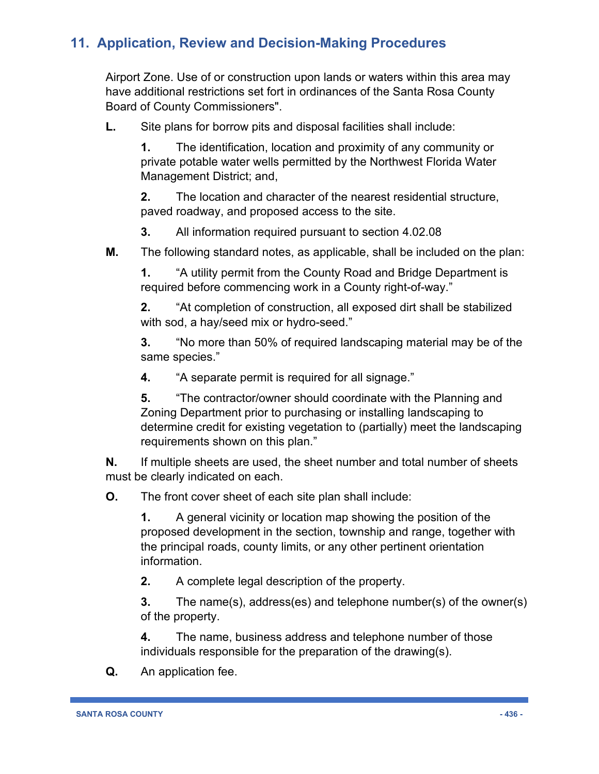Airport Zone. Use of or construction upon lands or waters within this area may have additional restrictions set fort in ordinances of the Santa Rosa County Board of County Commissioners".

**L.** Site plans for borrow pits and disposal facilities shall include:

**1.** The identification, location and proximity of any community or private potable water wells permitted by the Northwest Florida Water Management District; and,

**2.** The location and character of the nearest residential structure, paved roadway, and proposed access to the site.

**3.** All information required pursuant to section 4.02.08

**M.** The following standard notes, as applicable, shall be included on the plan:

**1.** "A utility permit from the County Road and Bridge Department is required before commencing work in a County right-of-way."

**2.** "At completion of construction, all exposed dirt shall be stabilized with sod, a hay/seed mix or hydro-seed."

**3.** "No more than 50% of required landscaping material may be of the same species."

**4.** "A separate permit is required for all signage."

**5.** "The contractor/owner should coordinate with the Planning and Zoning Department prior to purchasing or installing landscaping to determine credit for existing vegetation to (partially) meet the landscaping requirements shown on this plan."

**N.** If multiple sheets are used, the sheet number and total number of sheets must be clearly indicated on each.

**O.** The front cover sheet of each site plan shall include:

**1.** A general vicinity or location map showing the position of the proposed development in the section, township and range, together with the principal roads, county limits, or any other pertinent orientation information.

**2.** A complete legal description of the property.

**3.** The name(s), address(es) and telephone number(s) of the owner(s) of the property.

**4.** The name, business address and telephone number of those individuals responsible for the preparation of the drawing(s).

**Q.** An application fee.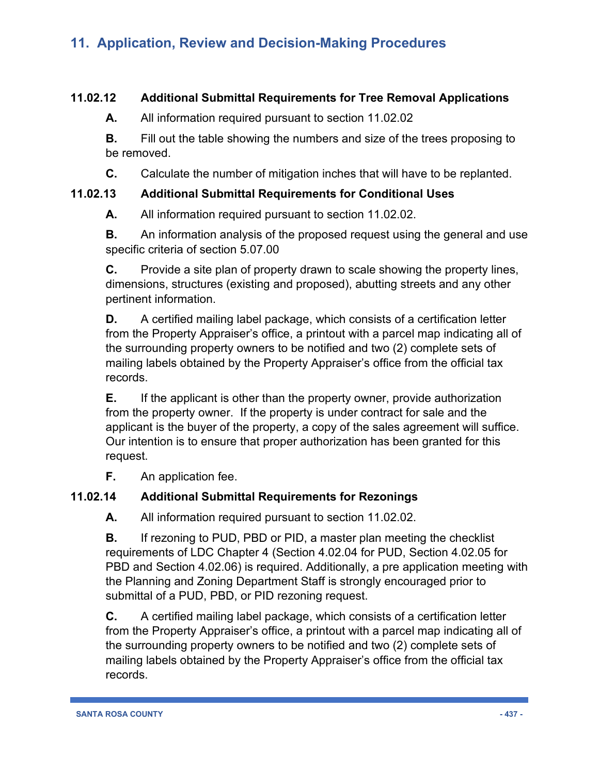#### **11.02.12 Additional Submittal Requirements for Tree Removal Applications**

**A.** All information required pursuant to section 11.02.02

**B.** Fill out the table showing the numbers and size of the trees proposing to be removed.

**C.** Calculate the number of mitigation inches that will have to be replanted.

#### **11.02.13 Additional Submittal Requirements for Conditional Uses**

**A.** All information required pursuant to section 11.02.02.

**B.** An information analysis of the proposed request using the general and use specific criteria of section 5.07.00

**C.** Provide a site plan of property drawn to scale showing the property lines, dimensions, structures (existing and proposed), abutting streets and any other pertinent information.

**D.** A certified mailing label package, which consists of a certification letter from the Property Appraiser's office, a printout with a parcel map indicating all of the surrounding property owners to be notified and two (2) complete sets of mailing labels obtained by the Property Appraiser's office from the official tax records.

**E.** If the applicant is other than the property owner, provide authorization from the property owner. If the property is under contract for sale and the applicant is the buyer of the property, a copy of the sales agreement will suffice. Our intention is to ensure that proper authorization has been granted for this request.

**F.** An application fee.

### **11.02.14 Additional Submittal Requirements for Rezonings**

**A.** All information required pursuant to section 11.02.02.

**B.** If rezoning to PUD, PBD or PID, a master plan meeting the checklist requirements of LDC Chapter 4 (Section 4.02.04 for PUD, Section 4.02.05 for PBD and Section 4.02.06) is required. Additionally, a pre application meeting with the Planning and Zoning Department Staff is strongly encouraged prior to submittal of a PUD, PBD, or PID rezoning request.

**C.** A certified mailing label package, which consists of a certification letter from the Property Appraiser's office, a printout with a parcel map indicating all of the surrounding property owners to be notified and two (2) complete sets of mailing labels obtained by the Property Appraiser's office from the official tax records.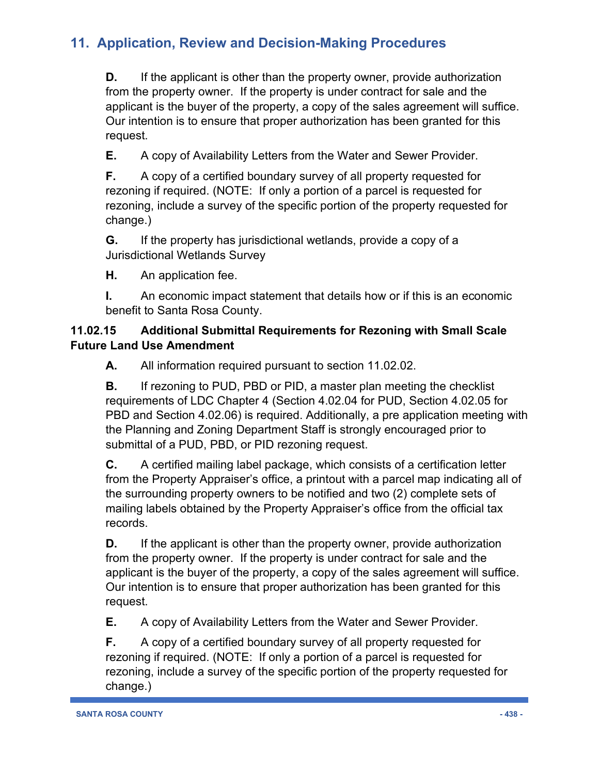**D.** If the applicant is other than the property owner, provide authorization from the property owner. If the property is under contract for sale and the applicant is the buyer of the property, a copy of the sales agreement will suffice. Our intention is to ensure that proper authorization has been granted for this request.

**E.** A copy of Availability Letters from the Water and Sewer Provider.

**F.** A copy of a certified boundary survey of all property requested for rezoning if required. (NOTE: If only a portion of a parcel is requested for rezoning, include a survey of the specific portion of the property requested for change.)

**G.** If the property has jurisdictional wetlands, provide a copy of a Jurisdictional Wetlands Survey

**H.** An application fee.

**I.** An economic impact statement that details how or if this is an economic benefit to Santa Rosa County.

### **11.02.15 Additional Submittal Requirements for Rezoning with Small Scale Future Land Use Amendment**

**A.** All information required pursuant to section 11.02.02.

**B.** If rezoning to PUD, PBD or PID, a master plan meeting the checklist requirements of LDC Chapter 4 (Section 4.02.04 for PUD, Section 4.02.05 for PBD and Section 4.02.06) is required. Additionally, a pre application meeting with the Planning and Zoning Department Staff is strongly encouraged prior to submittal of a PUD, PBD, or PID rezoning request.

**C.** A certified mailing label package, which consists of a certification letter from the Property Appraiser's office, a printout with a parcel map indicating all of the surrounding property owners to be notified and two (2) complete sets of mailing labels obtained by the Property Appraiser's office from the official tax records.

**D.** If the applicant is other than the property owner, provide authorization from the property owner. If the property is under contract for sale and the applicant is the buyer of the property, a copy of the sales agreement will suffice. Our intention is to ensure that proper authorization has been granted for this request.

**E.** A copy of Availability Letters from the Water and Sewer Provider.

**F.** A copy of a certified boundary survey of all property requested for rezoning if required. (NOTE: If only a portion of a parcel is requested for rezoning, include a survey of the specific portion of the property requested for change.)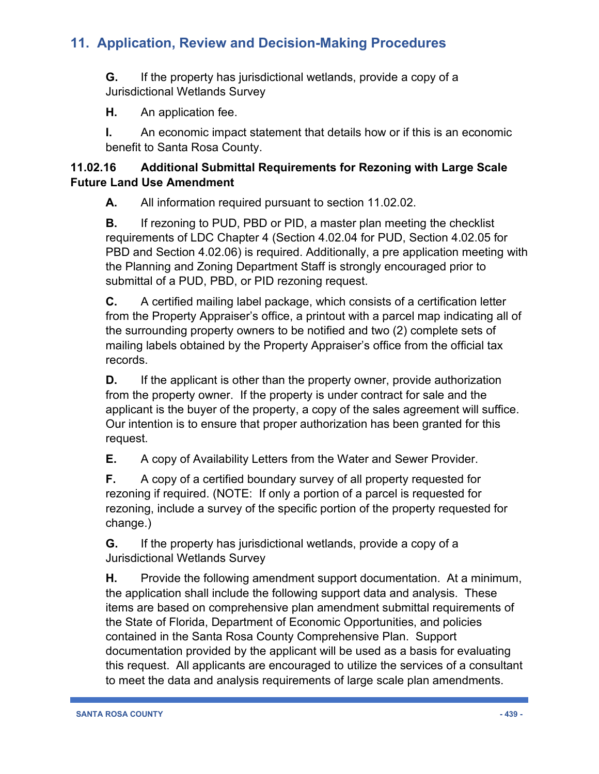**G.** If the property has jurisdictional wetlands, provide a copy of a Jurisdictional Wetlands Survey

**H.** An application fee.

**I.** An economic impact statement that details how or if this is an economic benefit to Santa Rosa County.

### **11.02.16 Additional Submittal Requirements for Rezoning with Large Scale Future Land Use Amendment**

**A.** All information required pursuant to section 11.02.02.

**B.** If rezoning to PUD, PBD or PID, a master plan meeting the checklist requirements of LDC Chapter 4 (Section 4.02.04 for PUD, Section 4.02.05 for PBD and Section 4.02.06) is required. Additionally, a pre application meeting with the Planning and Zoning Department Staff is strongly encouraged prior to submittal of a PUD, PBD, or PID rezoning request.

**C.** A certified mailing label package, which consists of a certification letter from the Property Appraiser's office, a printout with a parcel map indicating all of the surrounding property owners to be notified and two (2) complete sets of mailing labels obtained by the Property Appraiser's office from the official tax records.

**D.** If the applicant is other than the property owner, provide authorization from the property owner. If the property is under contract for sale and the applicant is the buyer of the property, a copy of the sales agreement will suffice. Our intention is to ensure that proper authorization has been granted for this request.

**E.** A copy of Availability Letters from the Water and Sewer Provider.

**F.** A copy of a certified boundary survey of all property requested for rezoning if required. (NOTE: If only a portion of a parcel is requested for rezoning, include a survey of the specific portion of the property requested for change.)

**G.** If the property has jurisdictional wetlands, provide a copy of a Jurisdictional Wetlands Survey

**H.** Provide the following amendment support documentation. At a minimum, the application shall include the following support data and analysis. These items are based on comprehensive plan amendment submittal requirements of the State of Florida, Department of Economic Opportunities, and policies contained in the Santa Rosa County Comprehensive Plan. Support documentation provided by the applicant will be used as a basis for evaluating this request. All applicants are encouraged to utilize the services of a consultant to meet the data and analysis requirements of large scale plan amendments.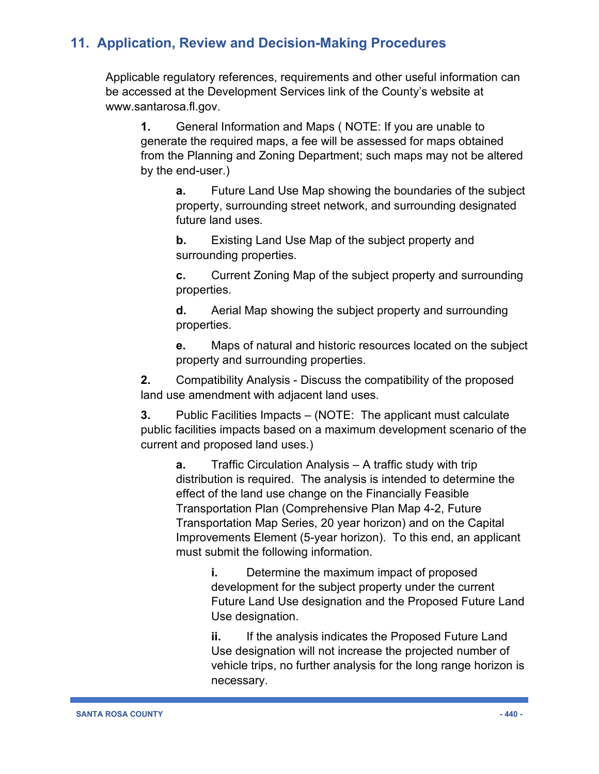Applicable regulatory references, requirements and other useful information can be accessed at the Development Services link of the County's website at www.santarosa.fl.gov.

**1.** General Information and Maps ( NOTE: If you are unable to generate the required maps, a fee will be assessed for maps obtained from the Planning and Zoning Department; such maps may not be altered by the end-user.)

**a.** Future Land Use Map showing the boundaries of the subject property, surrounding street network, and surrounding designated future land uses.

**b.** Existing Land Use Map of the subject property and surrounding properties.

**c.** Current Zoning Map of the subject property and surrounding properties.

**d.** Aerial Map showing the subject property and surrounding properties.

**e.** Maps of natural and historic resources located on the subject property and surrounding properties.

**2.** Compatibility Analysis - Discuss the compatibility of the proposed land use amendment with adjacent land uses.

**3.** Public Facilities Impacts – (NOTE: The applicant must calculate public facilities impacts based on a maximum development scenario of the current and proposed land uses.)

**a.** Traffic Circulation Analysis – A traffic study with trip distribution is required. The analysis is intended to determine the effect of the land use change on the Financially Feasible Transportation Plan (Comprehensive Plan Map 4-2, Future Transportation Map Series, 20 year horizon) and on the Capital Improvements Element (5-year horizon). To this end, an applicant must submit the following information.

> **i.** Determine the maximum impact of proposed development for the subject property under the current Future Land Use designation and the Proposed Future Land Use designation.

> **ii.** If the analysis indicates the Proposed Future Land Use designation will not increase the projected number of vehicle trips, no further analysis for the long range horizon is necessary.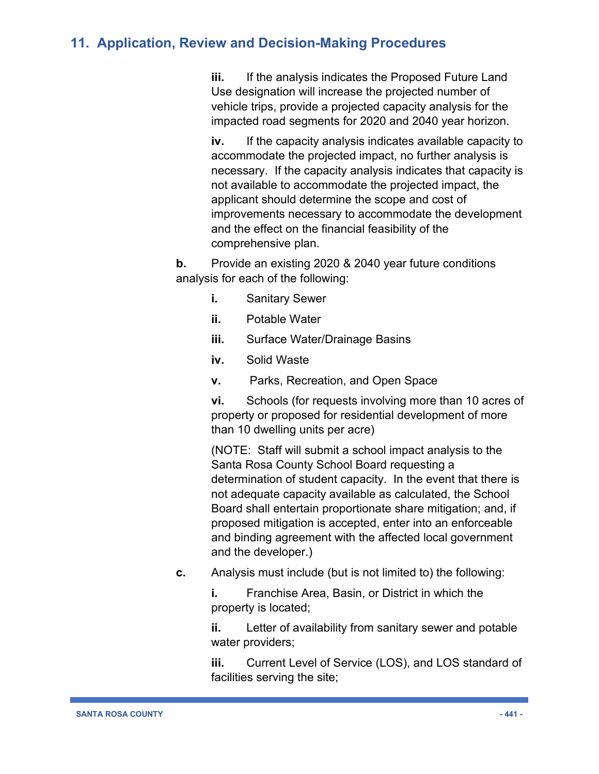**iii.** If the analysis indicates the Proposed Future Land Use designation will increase the projected number of vehicle trips, provide a projected capacity analysis for the impacted road segments for 2020 and 2040 year horizon.

**iv.** If the capacity analysis indicates available capacity to accommodate the projected impact, no further analysis is necessary. If the capacity analysis indicates that capacity is not available to accommodate the projected impact, the applicant should determine the scope and cost of improvements necessary to accommodate the development and the effect on the financial feasibility of the comprehensive plan.

**b.** Provide an existing 2020 & 2040 year future conditions analysis for each of the following:

- **i.** Sanitary Sewer
- **ii.** Potable Water
- **iii.** Surface Water/Drainage Basins
- **iv.** Solid Waste
- **v.** Parks, Recreation, and Open Space

**vi.** Schools (for requests involving more than 10 acres of property or proposed for residential development of more than 10 dwelling units per acre)

(NOTE: Staff will submit a school impact analysis to the Santa Rosa County School Board requesting a determination of student capacity. In the event that there is not adequate capacity available as calculated, the School Board shall entertain proportionate share mitigation; and, if proposed mitigation is accepted, enter into an enforceable and binding agreement with the affected local government and the developer.)

**c.** Analysis must include (but is not limited to) the following:

**i.** Franchise Area, Basin, or District in which the property is located;

**ii.** Letter of availability from sanitary sewer and potable water providers;

**iii.** Current Level of Service (LOS), and LOS standard of facilities serving the site;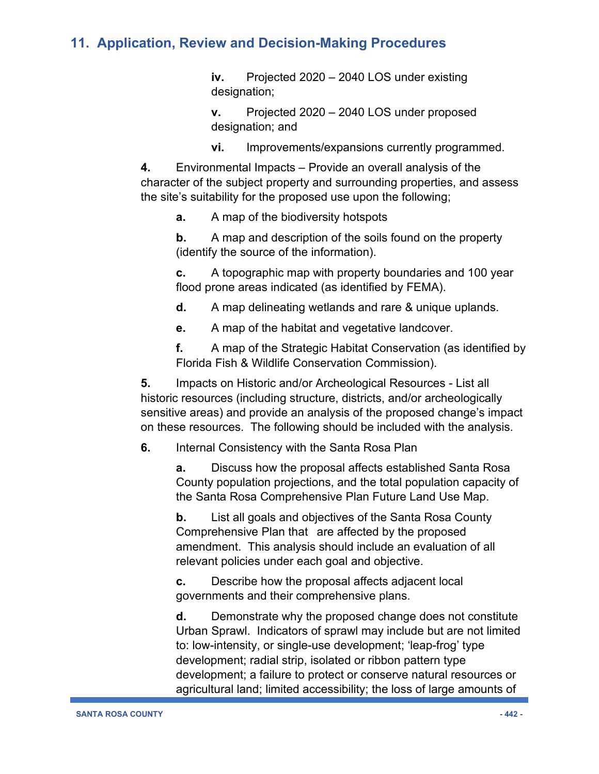**iv.** Projected 2020 – 2040 LOS under existing designation;

**v.** Projected 2020 – 2040 LOS under proposed designation; and

**vi.** Improvements/expansions currently programmed.

**4.** Environmental Impacts – Provide an overall analysis of the character of the subject property and surrounding properties, and assess the site's suitability for the proposed use upon the following;

**a.** A map of the biodiversity hotspots

**b.** A map and description of the soils found on the property (identify the source of the information).

**c.** A topographic map with property boundaries and 100 year flood prone areas indicated (as identified by FEMA).

**d.** A map delineating wetlands and rare & unique uplands.

**e.** A map of the habitat and vegetative landcover.

**f.** A map of the Strategic Habitat Conservation (as identified by Florida Fish & Wildlife Conservation Commission).

**5.** Impacts on Historic and/or Archeological Resources - List all historic resources (including structure, districts, and/or archeologically sensitive areas) and provide an analysis of the proposed change's impact on these resources. The following should be included with the analysis.

**6.** Internal Consistency with the Santa Rosa Plan

**a.** Discuss how the proposal affects established Santa Rosa County population projections, and the total population capacity of the Santa Rosa Comprehensive Plan Future Land Use Map.

**b.** List all goals and objectives of the Santa Rosa County Comprehensive Plan that are affected by the proposed amendment. This analysis should include an evaluation of all relevant policies under each goal and objective.

**c.** Describe how the proposal affects adjacent local governments and their comprehensive plans.

**d.** Demonstrate why the proposed change does not constitute Urban Sprawl. Indicators of sprawl may include but are not limited to: low-intensity, or single-use development; 'leap-frog' type development; radial strip, isolated or ribbon pattern type development; a failure to protect or conserve natural resources or agricultural land; limited accessibility; the loss of large amounts of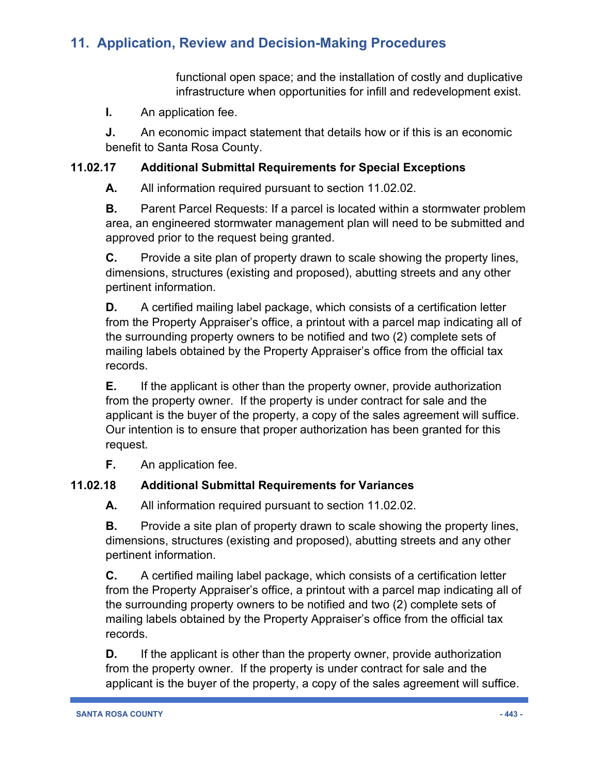functional open space; and the installation of costly and duplicative infrastructure when opportunities for infill and redevelopment exist.

**I.** An application fee.

**J.** An economic impact statement that details how or if this is an economic benefit to Santa Rosa County.

### **11.02.17 Additional Submittal Requirements for Special Exceptions**

**A.** All information required pursuant to section 11.02.02.

**B.** Parent Parcel Requests: If a parcel is located within a stormwater problem area, an engineered stormwater management plan will need to be submitted and approved prior to the request being granted.

**C.** Provide a site plan of property drawn to scale showing the property lines, dimensions, structures (existing and proposed), abutting streets and any other pertinent information.

**D.** A certified mailing label package, which consists of a certification letter from the Property Appraiser's office, a printout with a parcel map indicating all of the surrounding property owners to be notified and two (2) complete sets of mailing labels obtained by the Property Appraiser's office from the official tax records.

**E.** If the applicant is other than the property owner, provide authorization from the property owner. If the property is under contract for sale and the applicant is the buyer of the property, a copy of the sales agreement will suffice. Our intention is to ensure that proper authorization has been granted for this request.

**F.** An application fee.

### **11.02.18 Additional Submittal Requirements for Variances**

**A.** All information required pursuant to section 11.02.02.

**B.** Provide a site plan of property drawn to scale showing the property lines, dimensions, structures (existing and proposed), abutting streets and any other pertinent information.

**C.** A certified mailing label package, which consists of a certification letter from the Property Appraiser's office, a printout with a parcel map indicating all of the surrounding property owners to be notified and two (2) complete sets of mailing labels obtained by the Property Appraiser's office from the official tax records.

**D.** If the applicant is other than the property owner, provide authorization from the property owner. If the property is under contract for sale and the applicant is the buyer of the property, a copy of the sales agreement will suffice.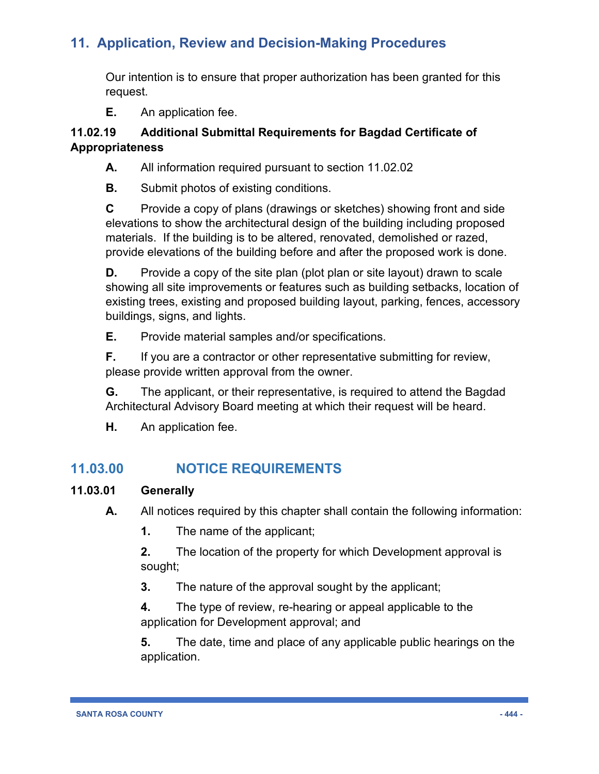Our intention is to ensure that proper authorization has been granted for this request.

**E.** An application fee.

#### **11.02.19 Additional Submittal Requirements for Bagdad Certificate of Appropriateness**

**A.** All information required pursuant to section 11.02.02

**B.** Submit photos of existing conditions.

**C** Provide a copy of plans (drawings or sketches) showing front and side elevations to show the architectural design of the building including proposed materials. If the building is to be altered, renovated, demolished or razed, provide elevations of the building before and after the proposed work is done.

**D.** Provide a copy of the site plan (plot plan or site layout) drawn to scale showing all site improvements or features such as building setbacks, location of existing trees, existing and proposed building layout, parking, fences, accessory buildings, signs, and lights.

**E.** Provide material samples and/or specifications.

**F.** If you are a contractor or other representative submitting for review, please provide written approval from the owner.

**G.** The applicant, or their representative, is required to attend the Bagdad Architectural Advisory Board meeting at which their request will be heard.

**H.** An application fee.

# **11.03.00 NOTICE REQUIREMENTS**

### **11.03.01 Generally**

**A.** All notices required by this chapter shall contain the following information:

**1.** The name of the applicant;

**2.** The location of the property for which Development approval is sought;

**3.** The nature of the approval sought by the applicant;

**4.** The type of review, re-hearing or appeal applicable to the application for Development approval; and

**5.** The date, time and place of any applicable public hearings on the application.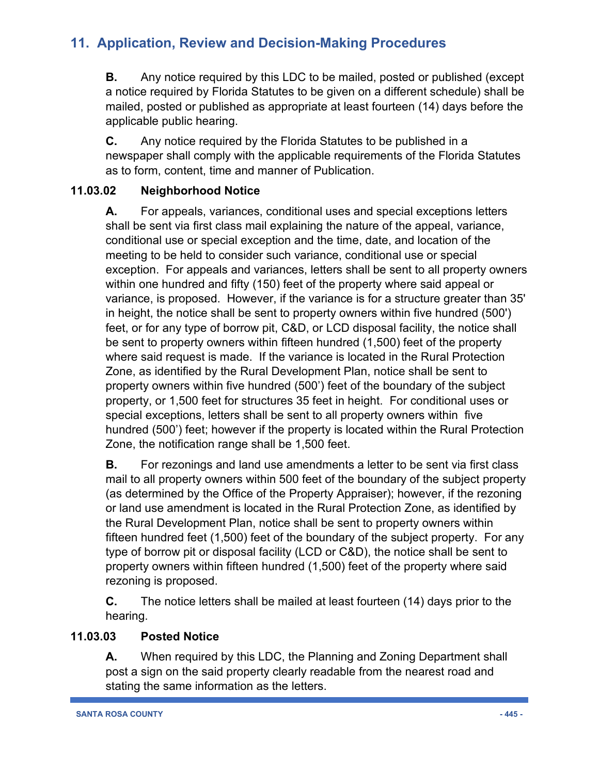**B.** Any notice required by this LDC to be mailed, posted or published (except a notice required by Florida Statutes to be given on a different schedule) shall be mailed, posted or published as appropriate at least fourteen (14) days before the applicable public hearing.

**C.** Any notice required by the Florida Statutes to be published in a newspaper shall comply with the applicable requirements of the Florida Statutes as to form, content, time and manner of Publication.

### **11.03.02 Neighborhood Notice**

**A.** For appeals, variances, conditional uses and special exceptions letters shall be sent via first class mail explaining the nature of the appeal, variance, conditional use or special exception and the time, date, and location of the meeting to be held to consider such variance, conditional use or special exception. For appeals and variances, letters shall be sent to all property owners within one hundred and fifty (150) feet of the property where said appeal or variance, is proposed. However, if the variance is for a structure greater than 35' in height, the notice shall be sent to property owners within five hundred (500') feet, or for any type of borrow pit, C&D, or LCD disposal facility, the notice shall be sent to property owners within fifteen hundred (1,500) feet of the property where said request is made. If the variance is located in the Rural Protection Zone, as identified by the Rural Development Plan, notice shall be sent to property owners within five hundred (500') feet of the boundary of the subject property, or 1,500 feet for structures 35 feet in height. For conditional uses or special exceptions, letters shall be sent to all property owners within five hundred (500') feet; however if the property is located within the Rural Protection Zone, the notification range shall be 1,500 feet.

**B.** For rezonings and land use amendments a letter to be sent via first class mail to all property owners within 500 feet of the boundary of the subject property (as determined by the Office of the Property Appraiser); however, if the rezoning or land use amendment is located in the Rural Protection Zone, as identified by the Rural Development Plan, notice shall be sent to property owners within fifteen hundred feet (1,500) feet of the boundary of the subject property. For any type of borrow pit or disposal facility (LCD or C&D), the notice shall be sent to property owners within fifteen hundred (1,500) feet of the property where said rezoning is proposed.

**C.** The notice letters shall be mailed at least fourteen (14) days prior to the hearing.

### **11.03.03 Posted Notice**

**A.** When required by this LDC, the Planning and Zoning Department shall post a sign on the said property clearly readable from the nearest road and stating the same information as the letters.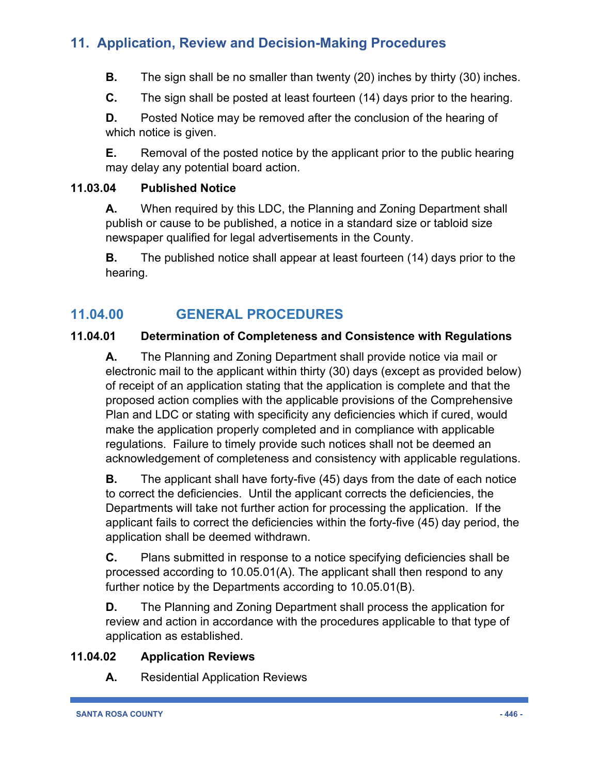**B.** The sign shall be no smaller than twenty (20) inches by thirty (30) inches.

**C.** The sign shall be posted at least fourteen (14) days prior to the hearing.

**D.** Posted Notice may be removed after the conclusion of the hearing of which notice is given.

**E.** Removal of the posted notice by the applicant prior to the public hearing may delay any potential board action.

### **11.03.04 Published Notice**

**A.** When required by this LDC, the Planning and Zoning Department shall publish or cause to be published, a notice in a standard size or tabloid size newspaper qualified for legal advertisements in the County.

**B.** The published notice shall appear at least fourteen (14) days prior to the hearing.

# **11.04.00 GENERAL PROCEDURES**

### **11.04.01 Determination of Completeness and Consistence with Regulations**

**A.** The Planning and Zoning Department shall provide notice via mail or electronic mail to the applicant within thirty (30) days (except as provided below) of receipt of an application stating that the application is complete and that the proposed action complies with the applicable provisions of the Comprehensive Plan and LDC or stating with specificity any deficiencies which if cured, would make the application properly completed and in compliance with applicable regulations. Failure to timely provide such notices shall not be deemed an acknowledgement of completeness and consistency with applicable regulations.

**B.** The applicant shall have forty-five (45) days from the date of each notice to correct the deficiencies. Until the applicant corrects the deficiencies, the Departments will take not further action for processing the application. If the applicant fails to correct the deficiencies within the forty-five (45) day period, the application shall be deemed withdrawn.

**C.** Plans submitted in response to a notice specifying deficiencies shall be processed according to 10.05.01(A). The applicant shall then respond to any further notice by the Departments according to 10.05.01(B).

**D.** The Planning and Zoning Department shall process the application for review and action in accordance with the procedures applicable to that type of application as established.

### **11.04.02 Application Reviews**

**A.** Residential Application Reviews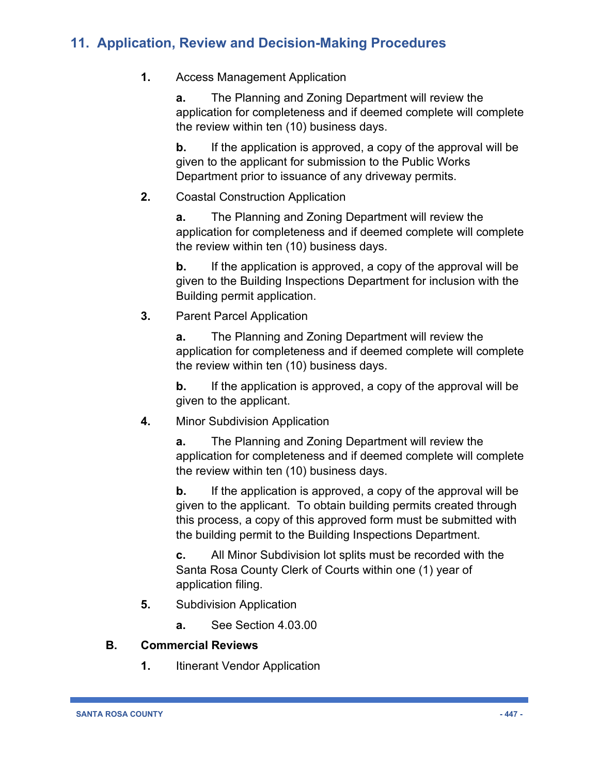### **1.** Access Management Application

**a.** The Planning and Zoning Department will review the application for completeness and if deemed complete will complete the review within ten (10) business days.

**b.** If the application is approved, a copy of the approval will be given to the applicant for submission to the Public Works Department prior to issuance of any driveway permits.

### **2.** Coastal Construction Application

**a.** The Planning and Zoning Department will review the application for completeness and if deemed complete will complete the review within ten (10) business days.

**b.** If the application is approved, a copy of the approval will be given to the Building Inspections Department for inclusion with the Building permit application.

### **3.** Parent Parcel Application

**a.** The Planning and Zoning Department will review the application for completeness and if deemed complete will complete the review within ten (10) business days.

**b.** If the application is approved, a copy of the approval will be given to the applicant.

### **4.** Minor Subdivision Application

**a.** The Planning and Zoning Department will review the application for completeness and if deemed complete will complete the review within ten (10) business days.

**b.** If the application is approved, a copy of the approval will be given to the applicant. To obtain building permits created through this process, a copy of this approved form must be submitted with the building permit to the Building Inspections Department.

**c.** All Minor Subdivision lot splits must be recorded with the Santa Rosa County Clerk of Courts within one (1) year of application filing.

- **5.** Subdivision Application
	- **a.** See Section 4.03.00

### **B. Commercial Reviews**

**1.** Itinerant Vendor Application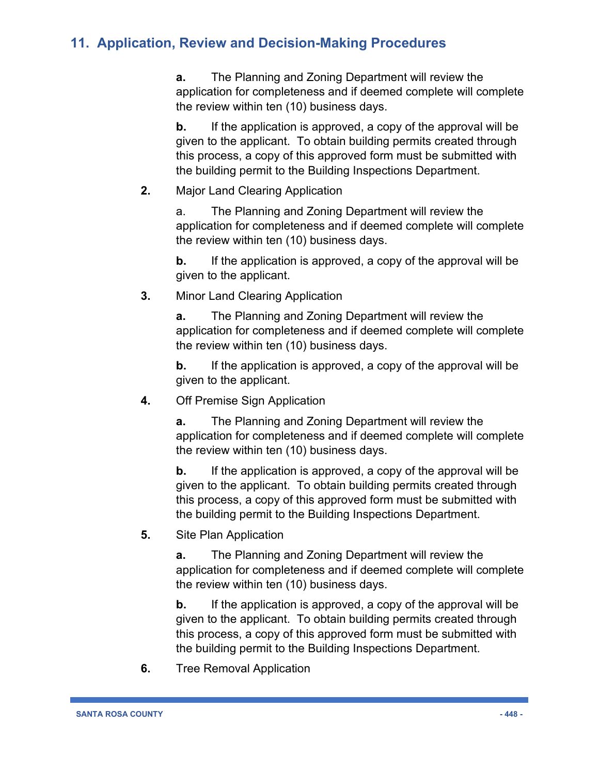**a.** The Planning and Zoning Department will review the application for completeness and if deemed complete will complete the review within ten (10) business days.

**b.** If the application is approved, a copy of the approval will be given to the applicant. To obtain building permits created through this process, a copy of this approved form must be submitted with the building permit to the Building Inspections Department.

**2.** Major Land Clearing Application

a. The Planning and Zoning Department will review the application for completeness and if deemed complete will complete the review within ten (10) business days.

**b.** If the application is approved, a copy of the approval will be given to the applicant.

**3.** Minor Land Clearing Application

**a.** The Planning and Zoning Department will review the application for completeness and if deemed complete will complete the review within ten (10) business days.

**b.** If the application is approved, a copy of the approval will be given to the applicant.

**4.** Off Premise Sign Application

**a.** The Planning and Zoning Department will review the application for completeness and if deemed complete will complete the review within ten (10) business days.

**b.** If the application is approved, a copy of the approval will be given to the applicant. To obtain building permits created through this process, a copy of this approved form must be submitted with the building permit to the Building Inspections Department.

**5.** Site Plan Application

**a.** The Planning and Zoning Department will review the application for completeness and if deemed complete will complete the review within ten (10) business days.

**b.** If the application is approved, a copy of the approval will be given to the applicant. To obtain building permits created through this process, a copy of this approved form must be submitted with the building permit to the Building Inspections Department.

**6.** Tree Removal Application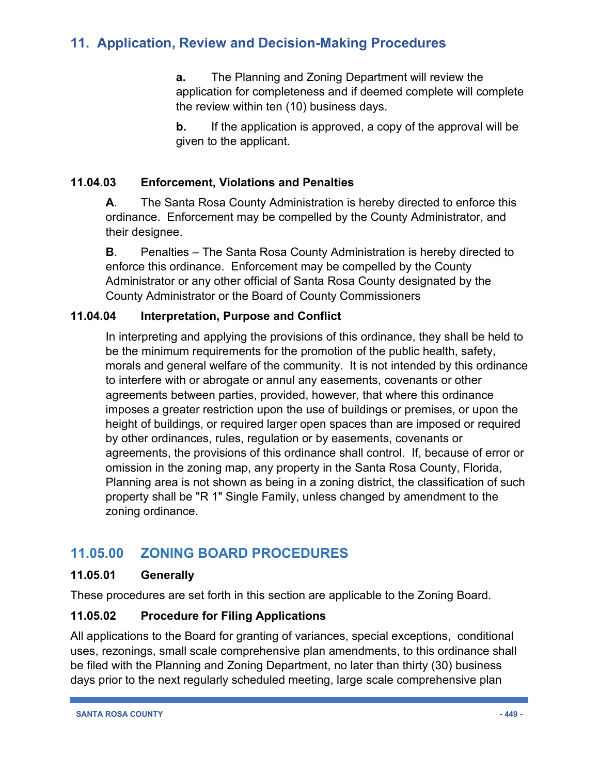**a.** The Planning and Zoning Department will review the application for completeness and if deemed complete will complete the review within ten (10) business days.

**b.** If the application is approved, a copy of the approval will be given to the applicant.

### **11.04.03 Enforcement, Violations and Penalties**

**A**. The Santa Rosa County Administration is hereby directed to enforce this ordinance. Enforcement may be compelled by the County Administrator, and their designee.

**B**. Penalties – The Santa Rosa County Administration is hereby directed to enforce this ordinance. Enforcement may be compelled by the County Administrator or any other official of Santa Rosa County designated by the County Administrator or the Board of County Commissioners

### **11.04.04 Interpretation, Purpose and Conflict**

In interpreting and applying the provisions of this ordinance, they shall be held to be the minimum requirements for the promotion of the public health, safety, morals and general welfare of the community. It is not intended by this ordinance to interfere with or abrogate or annul any easements, covenants or other agreements between parties, provided, however, that where this ordinance imposes a greater restriction upon the use of buildings or premises, or upon the height of buildings, or required larger open spaces than are imposed or required by other ordinances, rules, regulation or by easements, covenants or agreements, the provisions of this ordinance shall control. If, because of error or omission in the zoning map, any property in the Santa Rosa County, Florida, Planning area is not shown as being in a zoning district, the classification of such property shall be "R 1" Single Family, unless changed by amendment to the zoning ordinance.

### **11.05.00 ZONING BOARD PROCEDURES**

#### **11.05.01 Generally**

These procedures are set forth in this section are applicable to the Zoning Board.

### **11.05.02 Procedure for Filing Applications**

All applications to the Board for granting of variances, special exceptions, conditional uses, rezonings, small scale comprehensive plan amendments, to this ordinance shall be filed with the Planning and Zoning Department, no later than thirty (30) business days prior to the next regularly scheduled meeting, large scale comprehensive plan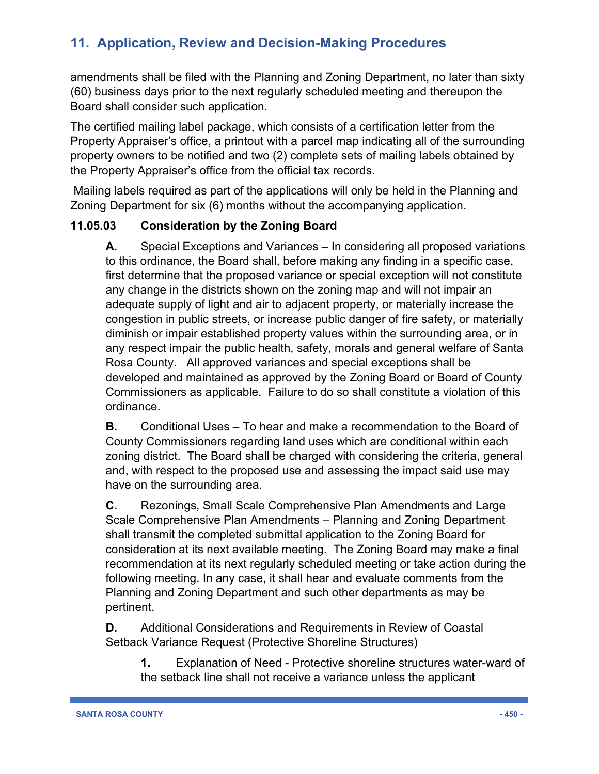amendments shall be filed with the Planning and Zoning Department, no later than sixty (60) business days prior to the next regularly scheduled meeting and thereupon the Board shall consider such application.

The certified mailing label package, which consists of a certification letter from the Property Appraiser's office, a printout with a parcel map indicating all of the surrounding property owners to be notified and two (2) complete sets of mailing labels obtained by the Property Appraiser's office from the official tax records.

Mailing labels required as part of the applications will only be held in the Planning and Zoning Department for six (6) months without the accompanying application.

### **11.05.03 Consideration by the Zoning Board**

**A.** Special Exceptions and Variances – In considering all proposed variations to this ordinance, the Board shall, before making any finding in a specific case, first determine that the proposed variance or special exception will not constitute any change in the districts shown on the zoning map and will not impair an adequate supply of light and air to adjacent property, or materially increase the congestion in public streets, or increase public danger of fire safety, or materially diminish or impair established property values within the surrounding area, or in any respect impair the public health, safety, morals and general welfare of Santa Rosa County. All approved variances and special exceptions shall be developed and maintained as approved by the Zoning Board or Board of County Commissioners as applicable. Failure to do so shall constitute a violation of this ordinance.

**B.** Conditional Uses – To hear and make a recommendation to the Board of County Commissioners regarding land uses which are conditional within each zoning district. The Board shall be charged with considering the criteria, general and, with respect to the proposed use and assessing the impact said use may have on the surrounding area.

**C.** Rezonings, Small Scale Comprehensive Plan Amendments and Large Scale Comprehensive Plan Amendments – Planning and Zoning Department shall transmit the completed submittal application to the Zoning Board for consideration at its next available meeting. The Zoning Board may make a final recommendation at its next regularly scheduled meeting or take action during the following meeting. In any case, it shall hear and evaluate comments from the Planning and Zoning Department and such other departments as may be pertinent.

**D.** Additional Considerations and Requirements in Review of Coastal Setback Variance Request (Protective Shoreline Structures)

**1.** Explanation of Need - Protective shoreline structures water-ward of the setback line shall not receive a variance unless the applicant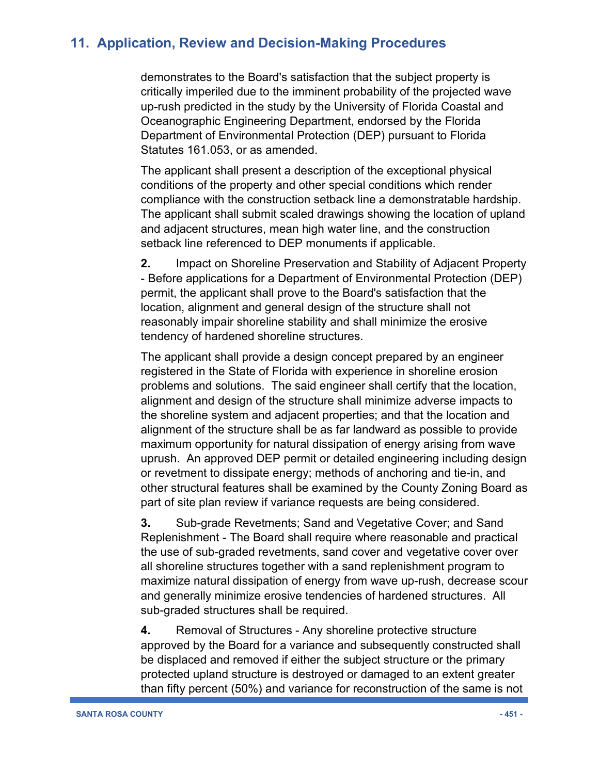demonstrates to the Board's satisfaction that the subject property is critically imperiled due to the imminent probability of the projected wave up-rush predicted in the study by the University of Florida Coastal and Oceanographic Engineering Department, endorsed by the Florida Department of Environmental Protection (DEP) pursuant to Florida Statutes 161.053, or as amended.

The applicant shall present a description of the exceptional physical conditions of the property and other special conditions which render compliance with the construction setback line a demonstratable hardship. The applicant shall submit scaled drawings showing the location of upland and adjacent structures, mean high water line, and the construction setback line referenced to DEP monuments if applicable.

**2.** Impact on Shoreline Preservation and Stability of Adjacent Property - Before applications for a Department of Environmental Protection (DEP) permit, the applicant shall prove to the Board's satisfaction that the location, alignment and general design of the structure shall not reasonably impair shoreline stability and shall minimize the erosive tendency of hardened shoreline structures.

The applicant shall provide a design concept prepared by an engineer registered in the State of Florida with experience in shoreline erosion problems and solutions. The said engineer shall certify that the location, alignment and design of the structure shall minimize adverse impacts to the shoreline system and adjacent properties; and that the location and alignment of the structure shall be as far landward as possible to provide maximum opportunity for natural dissipation of energy arising from wave uprush. An approved DEP permit or detailed engineering including design or revetment to dissipate energy; methods of anchoring and tie-in, and other structural features shall be examined by the County Zoning Board as part of site plan review if variance requests are being considered.

**3.** Sub-grade Revetments; Sand and Vegetative Cover; and Sand Replenishment - The Board shall require where reasonable and practical the use of sub-graded revetments, sand cover and vegetative cover over all shoreline structures together with a sand replenishment program to maximize natural dissipation of energy from wave up-rush, decrease scour and generally minimize erosive tendencies of hardened structures. All sub-graded structures shall be required.

**4.** Removal of Structures - Any shoreline protective structure approved by the Board for a variance and subsequently constructed shall be displaced and removed if either the subject structure or the primary protected upland structure is destroyed or damaged to an extent greater than fifty percent (50%) and variance for reconstruction of the same is not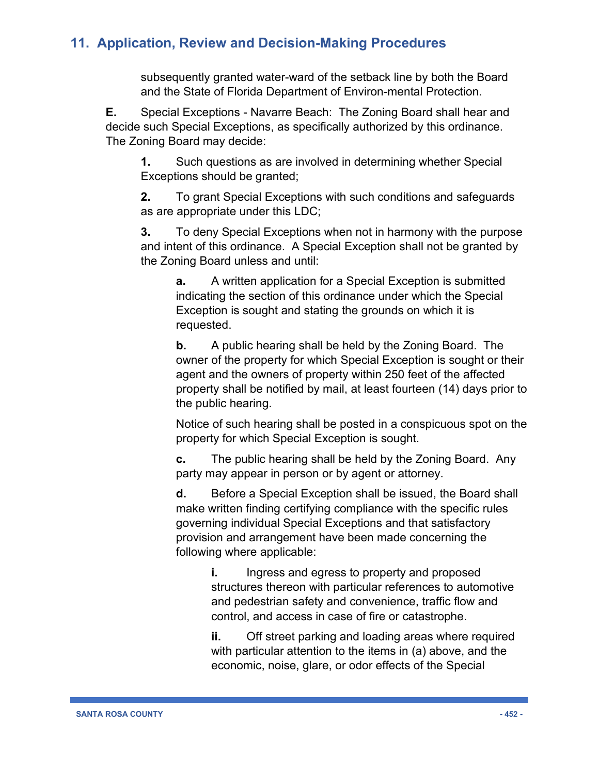subsequently granted water-ward of the setback line by both the Board and the State of Florida Department of Environ-mental Protection.

**E.** Special Exceptions - Navarre Beach: The Zoning Board shall hear and decide such Special Exceptions, as specifically authorized by this ordinance. The Zoning Board may decide:

**1.** Such questions as are involved in determining whether Special Exceptions should be granted;

**2.** To grant Special Exceptions with such conditions and safeguards as are appropriate under this LDC;

**3.** To deny Special Exceptions when not in harmony with the purpose and intent of this ordinance. A Special Exception shall not be granted by the Zoning Board unless and until:

**a.** A written application for a Special Exception is submitted indicating the section of this ordinance under which the Special Exception is sought and stating the grounds on which it is requested.

**b.** A public hearing shall be held by the Zoning Board. The owner of the property for which Special Exception is sought or their agent and the owners of property within 250 feet of the affected property shall be notified by mail, at least fourteen (14) days prior to the public hearing.

Notice of such hearing shall be posted in a conspicuous spot on the property for which Special Exception is sought.

**c.** The public hearing shall be held by the Zoning Board. Any party may appear in person or by agent or attorney.

**d.** Before a Special Exception shall be issued, the Board shall make written finding certifying compliance with the specific rules governing individual Special Exceptions and that satisfactory provision and arrangement have been made concerning the following where applicable:

**i.** Ingress and egress to property and proposed structures thereon with particular references to automotive and pedestrian safety and convenience, traffic flow and control, and access in case of fire or catastrophe.

**ii.** Off street parking and loading areas where required with particular attention to the items in (a) above, and the economic, noise, glare, or odor effects of the Special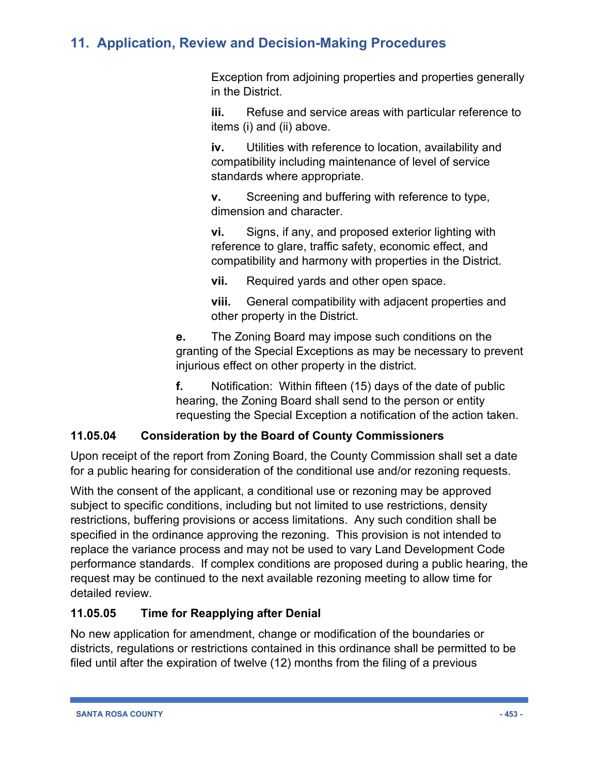Exception from adjoining properties and properties generally in the District.

**iii.** Refuse and service areas with particular reference to items (i) and (ii) above.

**iv.** Utilities with reference to location, availability and compatibility including maintenance of level of service standards where appropriate.

**v.** Screening and buffering with reference to type, dimension and character.

**vi.** Signs, if any, and proposed exterior lighting with reference to glare, traffic safety, economic effect, and compatibility and harmony with properties in the District.

**vii.** Required yards and other open space.

**viii.** General compatibility with adjacent properties and other property in the District.

**e.** The Zoning Board may impose such conditions on the granting of the Special Exceptions as may be necessary to prevent injurious effect on other property in the district.

**f.** Notification: Within fifteen (15) days of the date of public hearing, the Zoning Board shall send to the person or entity requesting the Special Exception a notification of the action taken.

### **11.05.04 Consideration by the Board of County Commissioners**

Upon receipt of the report from Zoning Board, the County Commission shall set a date for a public hearing for consideration of the conditional use and/or rezoning requests.

With the consent of the applicant, a conditional use or rezoning may be approved subject to specific conditions, including but not limited to use restrictions, density restrictions, buffering provisions or access limitations. Any such condition shall be specified in the ordinance approving the rezoning. This provision is not intended to replace the variance process and may not be used to vary Land Development Code performance standards. If complex conditions are proposed during a public hearing, the request may be continued to the next available rezoning meeting to allow time for detailed review.

### **11.05.05 Time for Reapplying after Denial**

No new application for amendment, change or modification of the boundaries or districts, regulations or restrictions contained in this ordinance shall be permitted to be filed until after the expiration of twelve (12) months from the filing of a previous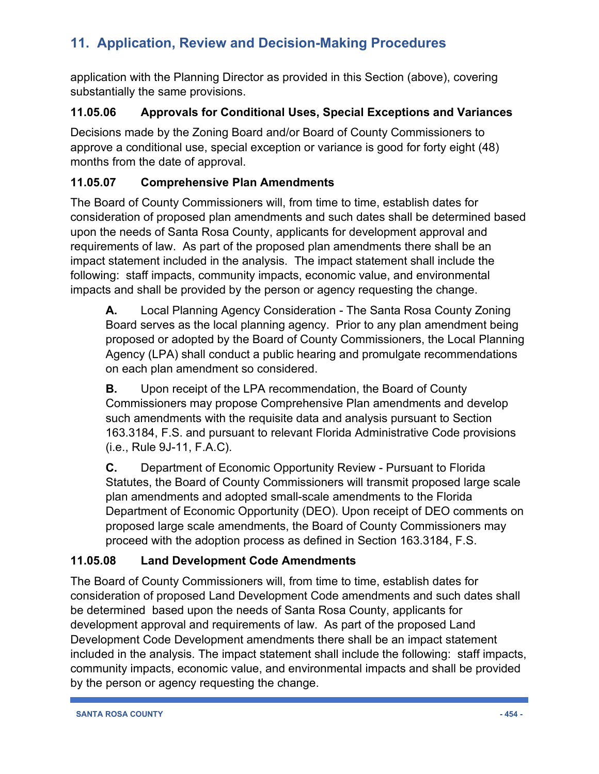application with the Planning Director as provided in this Section (above), covering substantially the same provisions.

### **11.05.06 Approvals for Conditional Uses, Special Exceptions and Variances**

Decisions made by the Zoning Board and/or Board of County Commissioners to approve a conditional use, special exception or variance is good for forty eight (48) months from the date of approval.

### **11.05.07 Comprehensive Plan Amendments**

The Board of County Commissioners will, from time to time, establish dates for consideration of proposed plan amendments and such dates shall be determined based upon the needs of Santa Rosa County, applicants for development approval and requirements of law. As part of the proposed plan amendments there shall be an impact statement included in the analysis. The impact statement shall include the following: staff impacts, community impacts, economic value, and environmental impacts and shall be provided by the person or agency requesting the change.

**A.** Local Planning Agency Consideration - The Santa Rosa County Zoning Board serves as the local planning agency. Prior to any plan amendment being proposed or adopted by the Board of County Commissioners, the Local Planning Agency (LPA) shall conduct a public hearing and promulgate recommendations on each plan amendment so considered.

**B.** Upon receipt of the LPA recommendation, the Board of County Commissioners may propose Comprehensive Plan amendments and develop such amendments with the requisite data and analysis pursuant to Section 163.3184, F.S. and pursuant to relevant Florida Administrative Code provisions (i.e., Rule 9J-11, F.A.C).

**C.** Department of Economic Opportunity Review - Pursuant to Florida Statutes, the Board of County Commissioners will transmit proposed large scale plan amendments and adopted small-scale amendments to the Florida Department of Economic Opportunity (DEO). Upon receipt of DEO comments on proposed large scale amendments, the Board of County Commissioners may proceed with the adoption process as defined in Section 163.3184, F.S.

### **11.05.08 Land Development Code Amendments**

The Board of County Commissioners will, from time to time, establish dates for consideration of proposed Land Development Code amendments and such dates shall be determined based upon the needs of Santa Rosa County, applicants for development approval and requirements of law. As part of the proposed Land Development Code Development amendments there shall be an impact statement included in the analysis. The impact statement shall include the following: staff impacts, community impacts, economic value, and environmental impacts and shall be provided by the person or agency requesting the change.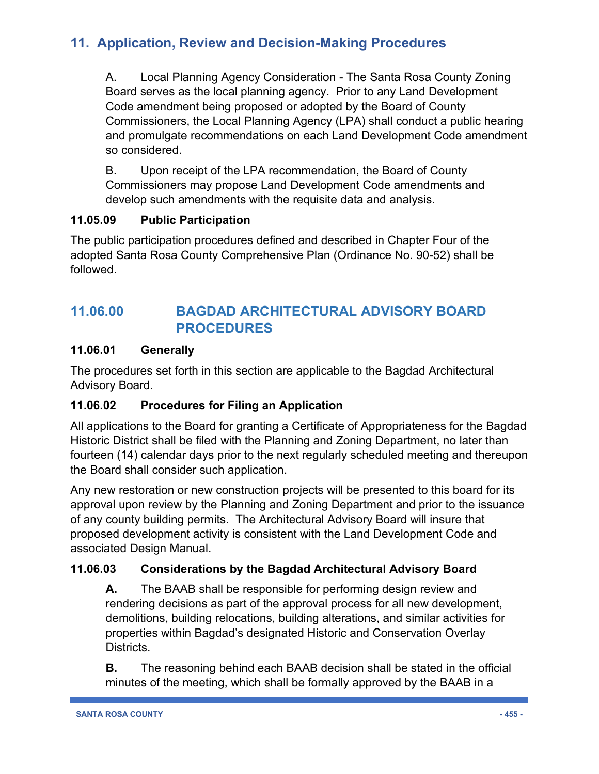A. Local Planning Agency Consideration - The Santa Rosa County Zoning Board serves as the local planning agency. Prior to any Land Development Code amendment being proposed or adopted by the Board of County Commissioners, the Local Planning Agency (LPA) shall conduct a public hearing and promulgate recommendations on each Land Development Code amendment so considered.

B. Upon receipt of the LPA recommendation, the Board of County Commissioners may propose Land Development Code amendments and develop such amendments with the requisite data and analysis.

### **11.05.09 Public Participation**

The public participation procedures defined and described in Chapter Four of the adopted Santa Rosa County Comprehensive Plan (Ordinance No. 90-52) shall be followed.

# **11.06.00 BAGDAD ARCHITECTURAL ADVISORY BOARD PROCEDURES**

### **11.06.01 Generally**

The procedures set forth in this section are applicable to the Bagdad Architectural Advisory Board.

### **11.06.02 Procedures for Filing an Application**

All applications to the Board for granting a Certificate of Appropriateness for the Bagdad Historic District shall be filed with the Planning and Zoning Department, no later than fourteen (14) calendar days prior to the next regularly scheduled meeting and thereupon the Board shall consider such application.

Any new restoration or new construction projects will be presented to this board for its approval upon review by the Planning and Zoning Department and prior to the issuance of any county building permits. The Architectural Advisory Board will insure that proposed development activity is consistent with the Land Development Code and associated Design Manual.

### **11.06.03 Considerations by the Bagdad Architectural Advisory Board**

**A.** The BAAB shall be responsible for performing design review and rendering decisions as part of the approval process for all new development, demolitions, building relocations, building alterations, and similar activities for properties within Bagdad's designated Historic and Conservation Overlay Districts.

**B.** The reasoning behind each BAAB decision shall be stated in the official minutes of the meeting, which shall be formally approved by the BAAB in a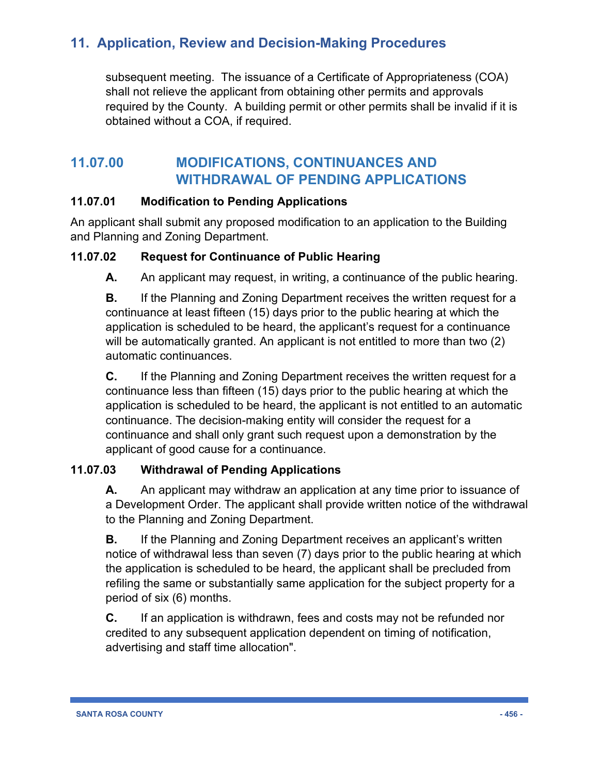subsequent meeting. The issuance of a Certificate of Appropriateness (COA) shall not relieve the applicant from obtaining other permits and approvals required by the County. A building permit or other permits shall be invalid if it is obtained without a COA, if required.

### **11.07.00 MODIFICATIONS, CONTINUANCES AND WITHDRAWAL OF PENDING APPLICATIONS**

### **11.07.01 Modification to Pending Applications**

An applicant shall submit any proposed modification to an application to the Building and Planning and Zoning Department.

### **11.07.02 Request for Continuance of Public Hearing**

**A.** An applicant may request, in writing, a continuance of the public hearing.

**B.** If the Planning and Zoning Department receives the written request for a continuance at least fifteen (15) days prior to the public hearing at which the application is scheduled to be heard, the applicant's request for a continuance will be automatically granted. An applicant is not entitled to more than two (2) automatic continuances.

**C.** If the Planning and Zoning Department receives the written request for a continuance less than fifteen (15) days prior to the public hearing at which the application is scheduled to be heard, the applicant is not entitled to an automatic continuance. The decision-making entity will consider the request for a continuance and shall only grant such request upon a demonstration by the applicant of good cause for a continuance.

### **11.07.03 Withdrawal of Pending Applications**

**A.** An applicant may withdraw an application at any time prior to issuance of a Development Order. The applicant shall provide written notice of the withdrawal to the Planning and Zoning Department.

**B.** If the Planning and Zoning Department receives an applicant's written notice of withdrawal less than seven (7) days prior to the public hearing at which the application is scheduled to be heard, the applicant shall be precluded from refiling the same or substantially same application for the subject property for a period of six (6) months.

**C.** If an application is withdrawn, fees and costs may not be refunded nor credited to any subsequent application dependent on timing of notification, advertising and staff time allocation".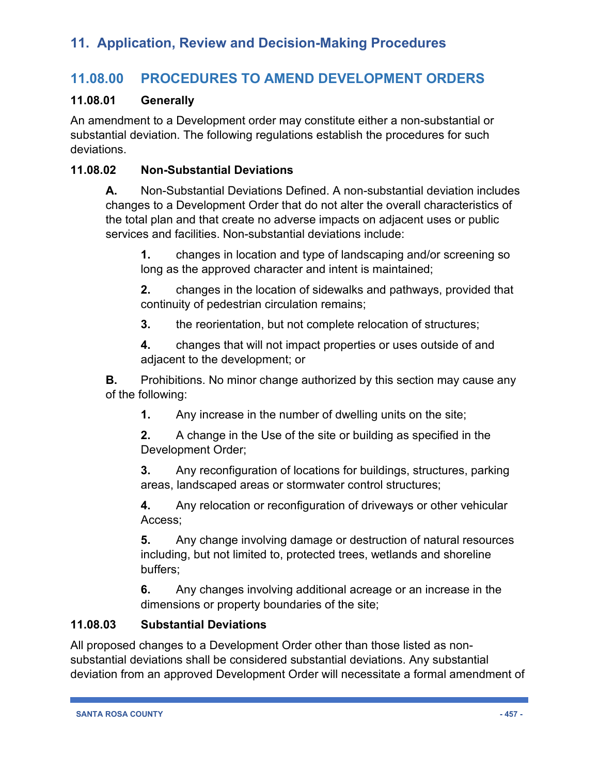### **11.08.00 PROCEDURES TO AMEND DEVELOPMENT ORDERS**

#### **11.08.01 Generally**

An amendment to a Development order may constitute either a non-substantial or substantial deviation. The following regulations establish the procedures for such deviations.

### **11.08.02 Non-Substantial Deviations**

**A.** Non-Substantial Deviations Defined. A non-substantial deviation includes changes to a Development Order that do not alter the overall characteristics of the total plan and that create no adverse impacts on adjacent uses or public services and facilities. Non-substantial deviations include:

**1.** changes in location and type of landscaping and/or screening so long as the approved character and intent is maintained;

**2.** changes in the location of sidewalks and pathways, provided that continuity of pedestrian circulation remains;

**3.** the reorientation, but not complete relocation of structures;

**4.** changes that will not impact properties or uses outside of and adjacent to the development; or

**B.** Prohibitions. No minor change authorized by this section may cause any of the following:

**1.** Any increase in the number of dwelling units on the site;

**2.** A change in the Use of the site or building as specified in the Development Order;

**3.** Any reconfiguration of locations for buildings, structures, parking areas, landscaped areas or stormwater control structures;

**4.** Any relocation or reconfiguration of driveways or other vehicular Access;

**5.** Any change involving damage or destruction of natural resources including, but not limited to, protected trees, wetlands and shoreline buffers;

**6.** Any changes involving additional acreage or an increase in the dimensions or property boundaries of the site;

#### **11.08.03 Substantial Deviations**

All proposed changes to a Development Order other than those listed as nonsubstantial deviations shall be considered substantial deviations. Any substantial deviation from an approved Development Order will necessitate a formal amendment of